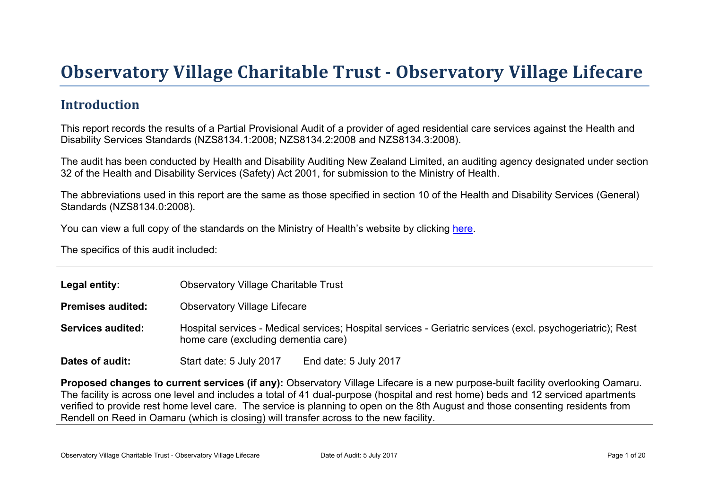# Obser vator y Village Charitable Tr ust - Obser vator y Village Lifecar e

### Introduction

This report records the results of a Partial Provisional Audit of a provider of aged residential care services against the Health and Disability Services Standards (NZS8134.1:2008; NZS8134.2:2008 and NZS8134.3:2008).

The audit has been conducted by Health and Disability Auditing New Zealand Limited, an auditing agency designated under section 32 of the Health and Disability Services (Safety) Act 2001, for submission to the Ministry of Health.

The abbreviations used in this report are the same as those specified in section 10 of the Health and Disability Services (General) Standards (NZS8134.0:2008).

You can view a full copy of the standards on the Ministry of Health's website by clicking [here.](http://www.health.govt.nz/our-work/regulation-health-and-disability-system/certification-health-care-services/health-and-disability-services-standards)

The specifics of this audit included:

| Legal entity:                                                                                                                                                                                                                                                                                                                                                                                                                                                                                     | <b>Observatory Village Charitable Trust</b>                                                                                                       |  |  |  |
|---------------------------------------------------------------------------------------------------------------------------------------------------------------------------------------------------------------------------------------------------------------------------------------------------------------------------------------------------------------------------------------------------------------------------------------------------------------------------------------------------|---------------------------------------------------------------------------------------------------------------------------------------------------|--|--|--|
| Premises audited:                                                                                                                                                                                                                                                                                                                                                                                                                                                                                 | <b>Observatory Village Lifecare</b>                                                                                                               |  |  |  |
| Services audited:                                                                                                                                                                                                                                                                                                                                                                                                                                                                                 | Hospital services - Medical services; Hospital services - Geriatric services (excl. psychogeriatric); Rest<br>home care (excluding dementia care) |  |  |  |
| Dates of audit:                                                                                                                                                                                                                                                                                                                                                                                                                                                                                   | Start date: 5 July 2017<br>End date: 5 July 2017                                                                                                  |  |  |  |
| Proposed changes to current services (if any): Observatory Village Lifecare is a new purpose-built facility overlooking Oamaru.<br>The facility is across one level and includes a total of 41 dual-purpose (hospital and rest home) beds and 12 serviced apartments<br>verified to provide rest home level care. The service is planning to open on the 8th August and those consenting residents from<br>Rendell on Reed in Oamaru (which is closing) will transfer across to the new facility. |                                                                                                                                                   |  |  |  |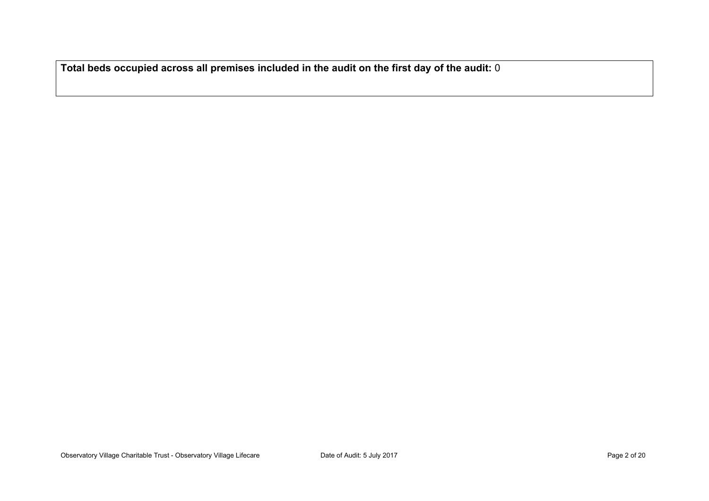**Total beds occupied across all premises included in the audit on the first day of the audit:** 0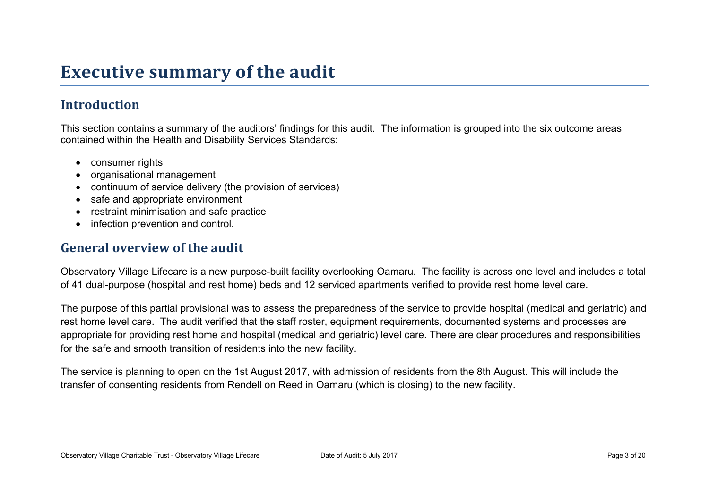## **Executive summary of the audit**

## **Introduction**

This section contains a summary of the auditors' findings for this audit. The information is grouped into the six outcome areas contained within the Health and Disability Services Standards:

- consumer rights
- organisational management
- continuum of service delivery (the provision of services)
- safe and appropriate environment
- restraint minimisation and safe practice
- infection prevention and control.

#### **General overview of the audit**

Observatory Village Lifecare is a new purpose-built facility overlooking Oamaru. The facility is across one level and includes a total of 41 dual-purpose (hospital and rest home) beds and 12 serviced apartments verified to provide rest home level care.

The purpose of this partial provisional was to assess the preparedness of the service to provide hospital (medical and geriatric) and rest home level care. The audit verified that the staff roster, equipment requirements, documented systems and processes are appropriate for providing rest home and hospital (medical and geriatric) level care. There are clear procedures and responsibilities for the safe and smooth transition of residents into the new facility.

The service is planning to open on the 1st August 2017, with admission of residents from the 8th August. This will include the transfer of consenting residents from Rendell on Reed in Oamaru (which is closing) to the new facility.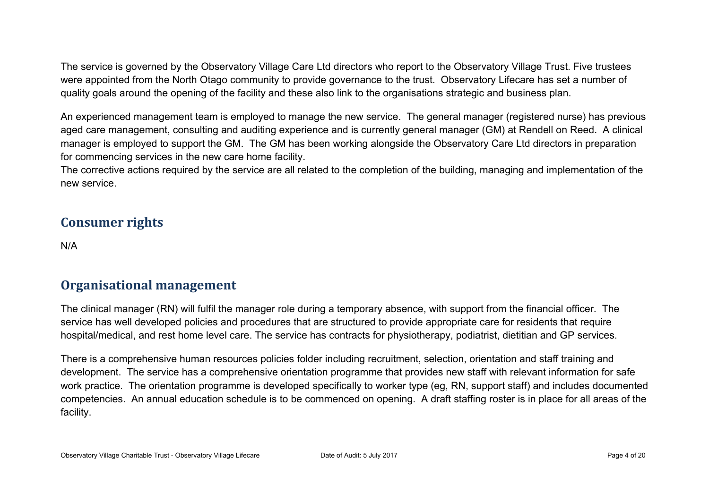The service is governed by the Observatory Village Care Ltd directors who report to the Observatory Village Trust. Five trustees were appointed from the North Otago community to provide governance to the trust. Observatory Lifecare has set a number of quality goals around the opening of the facility and these also link to the organisations strategic and business plan.

An experienced management team is employed to manage the new service. The general manager (registered nurse) has previous aged care management, consulting and auditing experience and is currently general manager (GM) at Rendell on Reed. A clinical manager is employed to support the GM. The GM has been working alongside the Observatory Care Ltd directors in preparation for commencing services in the new care home facility.

The corrective actions required by the service are all related to the completion of the building, managing and implementation of the new service.

### **Consumer rights**

N/A

#### **Organisational management**

The clinical manager (RN) will fulfil the manager role during a temporary absence, with support from the financial officer. The service has well developed policies and procedures that are structured to provide appropriate care for residents that require hospital/medical, and rest home level care. The service has contracts for physiotherapy, podiatrist, dietitian and GP services.

There is a comprehensive human resources policies folder including recruitment, selection, orientation and staff training and development. The service has a comprehensive orientation programme that provides new staff with relevant information for safe work practice. The orientation programme is developed specifically to worker type (eg, RN, support staff) and includes documented competencies. An annual education schedule is to be commenced on opening. A draft staffing roster is in place for all areas of the facility.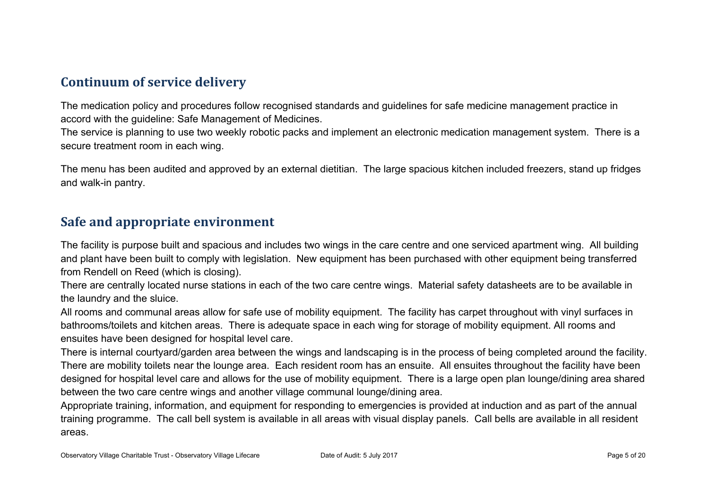### **Continuum of service delivery**

The medication policy and procedures follow recognised standards and guidelines for safe medicine management practice in accord with the guideline: Safe Management of Medicines.

The service is planning to use two weekly robotic packs and implement an electronic medication management system. There is a secure treatment room in each wing.

The menu has been audited and approved by an external dietitian. The large spacious kitchen included freezers, stand up fridges and walk-in pantry.

#### **Safe and appropriate environment**

The facility is purpose built and spacious and includes two wings in the care centre and one serviced apartment wing. All building and plant have been built to comply with legislation. New equipment has been purchased with other equipment being transferred from Rendell on Reed (which is closing).

There are centrally located nurse stations in each of the two care centre wings. Material safety datasheets are to be available in the laundry and the sluice.

All rooms and communal areas allow for safe use of mobility equipment. The facility has carpet throughout with vinyl surfaces in bathrooms/toilets and kitchen areas. There is adequate space in each wing for storage of mobility equipment. All rooms and ensuites have been designed for hospital level care.

There is internal courtyard/garden area between the wings and landscaping is in the process of being completed around the facility. There are mobility toilets near the lounge area. Each resident room has an ensuite. All ensuites throughout the facility have been designed for hospital level care and allows for the use of mobility equipment. There is a large open plan lounge/dining area shared between the two care centre wings and another village communal lounge/dining area.

Appropriate training, information, and equipment for responding to emergencies is provided at induction and as part of the annual training programme. The call bell system is available in all areas with visual display panels. Call bells are available in all resident areas.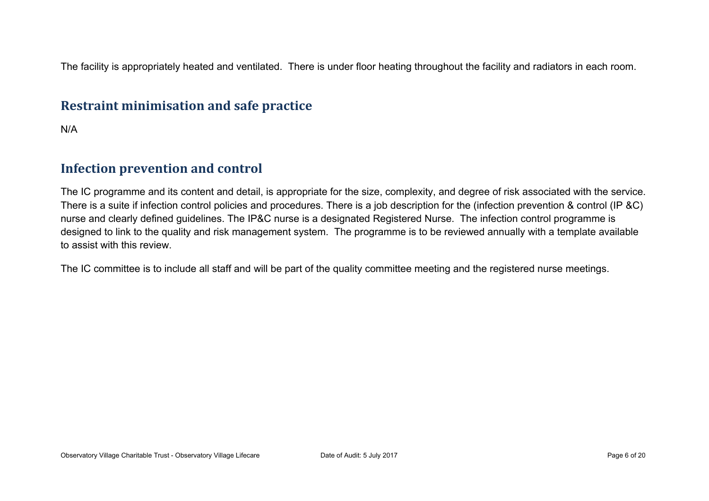The facility is appropriately heated and ventilated. There is under floor heating throughout the facility and radiators in each room.

#### **Restraint minimisation and safe practice**

N/A

#### **Infection prevention and control**

The IC programme and its content and detail, is appropriate for the size, complexity, and degree of risk associated with the service. There is a suite if infection control policies and procedures. There is a job description for the (infection prevention & control (IP &C) nurse and clearly defined guidelines. The IP&C nurse is a designated Registered Nurse. The infection control programme is designed to link to the quality and risk management system. The programme is to be reviewed annually with a template available to assist with this review.

The IC committee is to include all staff and will be part of the quality committee meeting and the registered nurse meetings.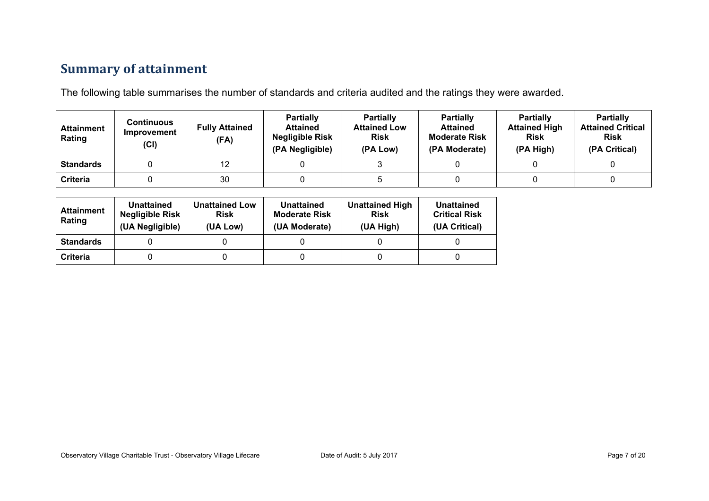## **Summary of attainment**

The following table summarises the number of standards and criteria audited and the ratings they were awarded.

| <b>Attainment</b><br>Rating | Continuous<br>Improvement<br>(Cl) | <b>Fully Attained</b><br>(FA) | <b>Partially</b><br><b>Attained</b><br><b>Negligible Risk</b><br>(PA Negligible) | <b>Partially</b><br><b>Attained Low</b><br><b>Risk</b><br>(PA Low) | <b>Partially</b><br><b>Attained</b><br><b>Moderate Risk</b><br>(PA Moderate) | <b>Partially</b><br><b>Attained High</b><br><b>Risk</b><br>(PA High) | <b>Partially</b><br><b>Attained Critical</b><br><b>Risk</b><br>(PA Critical) |
|-----------------------------|-----------------------------------|-------------------------------|----------------------------------------------------------------------------------|--------------------------------------------------------------------|------------------------------------------------------------------------------|----------------------------------------------------------------------|------------------------------------------------------------------------------|
| <b>Standards</b>            |                                   | 12                            |                                                                                  |                                                                    |                                                                              |                                                                      |                                                                              |
| Criteria                    |                                   | 30                            |                                                                                  |                                                                    |                                                                              |                                                                      |                                                                              |

| <b>Attainment</b><br>Rating | Unattained<br><b>Negligible Risk</b><br>(UA Negligible) | <b>Unattained Low</b><br><b>Risk</b><br>(UA Low) | Unattained<br><b>Moderate Risk</b><br>(UA Moderate) | <b>Unattained High</b><br><b>Risk</b><br>(UA High) | Unattained<br><b>Critical Risk</b><br>(UA Critical) |
|-----------------------------|---------------------------------------------------------|--------------------------------------------------|-----------------------------------------------------|----------------------------------------------------|-----------------------------------------------------|
| <b>Standards</b>            |                                                         |                                                  |                                                     |                                                    |                                                     |
| Criteria                    |                                                         |                                                  |                                                     |                                                    |                                                     |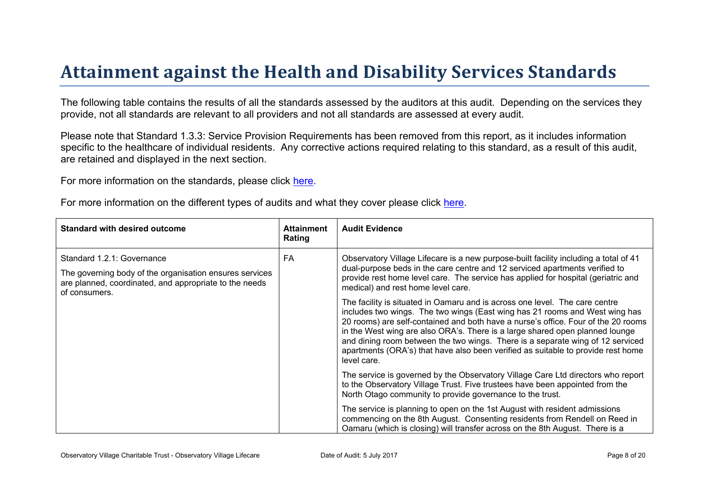# Attainment against the Health and Disability Ser vices Standar ds

The following table contains the results of all the standards assessed by the auditors at this audit. Depending on the services they provide, not all standards are relevant to all providers and not all standards are assessed at every audit.

Please note that Standard 1.3.3: Service Provision Requirements has been removed from this report, as it includes information specific to the healthcare of individual residents. Any corrective actions required relating to this standard, as a result of this audit. are retained and displayed in the next section.

For more information on the standards, please click [here](http://www.health.govt.nz/our-work/regulation-health-and-disability-system/certification-health-care-services/health-and-disability-services-standards).

For more information on the different types of audits and what they cover please click [here.](http://www.health.govt.nz/your-health/services-and-support/health-care-services/services-older-people/rest-home-certification-and-audits)

| Standard with desired outcome                                                                                                                                    | Attainment<br>Rating | Audit Evidence                                                                                                                                                                                                                                                                                                                                                                                                                                                                                                       |
|------------------------------------------------------------------------------------------------------------------------------------------------------------------|----------------------|----------------------------------------------------------------------------------------------------------------------------------------------------------------------------------------------------------------------------------------------------------------------------------------------------------------------------------------------------------------------------------------------------------------------------------------------------------------------------------------------------------------------|
| Standard 1.2.1: Governance<br>The governing body of the organisation ensures services<br>are planned, coordinated, and appropriate to the needs<br>of consumers. | FA                   | Observatory Village Lifecare is a new purpose-built facility including a total of 41<br>dual-purpose beds in the care centre and 12 serviced apartments verified to<br>provide rest home level care. The service has applied for hospital (geriatric and<br>medical) and rest home level care.                                                                                                                                                                                                                       |
|                                                                                                                                                                  |                      | The facility is situated in Oamaru and is across one level. The care centre<br>includes two wings. The two wings (East wing has 21 rooms and West wing has<br>20 rooms) are self-contained and both have a nurse's office. Four of the 20 rooms<br>in the West wing are also ORA's. There is a large shared open planned lounge<br>and dining room between the two wings. There is a separate wing of 12 serviced<br>apartments (ORA's) that have also been verified as suitable to provide rest home<br>level care. |
|                                                                                                                                                                  |                      | The service is governed by the Observatory Village Care Ltd directors who report<br>to the Observatory Village Trust. Five trustees have been appointed from the<br>North Otago community to provide governance to the trust.                                                                                                                                                                                                                                                                                        |
|                                                                                                                                                                  |                      | The service is planning to open on the 1st August with resident admissions<br>commencing on the 8th August. Consenting residents from Rendell on Reed in<br>Oamaru (which is closing) will transfer across on the 8th August. There is a                                                                                                                                                                                                                                                                             |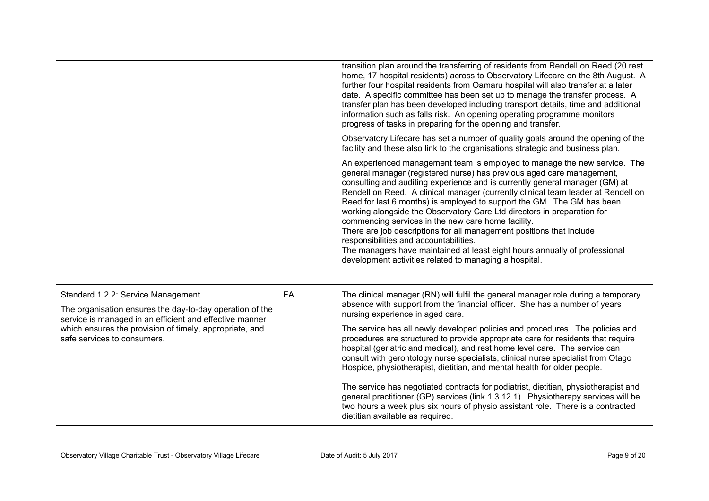|                                                                                                                                                                                                                                                     |           | transition plan around the transferring of residents from Rendell on Reed (20 rest<br>home, 17 hospital residents) across to Observatory Lifecare on the 8th August. A<br>further four hospital residents from Oamaru hospital will also transfer at a later<br>date. A specific committee has been set up to manage the transfer process. A<br>transfer plan has been developed including transport details, time and additional<br>information such as falls risk. An opening operating programme monitors<br>progress of tasks in preparing for the opening and transfer.                                                                                                                                                                                                                |
|-----------------------------------------------------------------------------------------------------------------------------------------------------------------------------------------------------------------------------------------------------|-----------|---------------------------------------------------------------------------------------------------------------------------------------------------------------------------------------------------------------------------------------------------------------------------------------------------------------------------------------------------------------------------------------------------------------------------------------------------------------------------------------------------------------------------------------------------------------------------------------------------------------------------------------------------------------------------------------------------------------------------------------------------------------------------------------------|
|                                                                                                                                                                                                                                                     |           | Observatory Lifecare has set a number of quality goals around the opening of the<br>facility and these also link to the organisations strategic and business plan.                                                                                                                                                                                                                                                                                                                                                                                                                                                                                                                                                                                                                          |
|                                                                                                                                                                                                                                                     |           | An experienced management team is employed to manage the new service. The<br>general manager (registered nurse) has previous aged care management,<br>consulting and auditing experience and is currently general manager (GM) at<br>Rendell on Reed. A clinical manager (currently clinical team leader at Rendell on<br>Reed for last 6 months) is employed to support the GM. The GM has been<br>working alongside the Observatory Care Ltd directors in preparation for<br>commencing services in the new care home facility.<br>There are job descriptions for all management positions that include<br>responsibilities and accountabilities.<br>The managers have maintained at least eight hours annually of professional<br>development activities related to managing a hospital. |
| Standard 1.2.2: Service Management<br>The organisation ensures the day-to-day operation of the<br>service is managed in an efficient and effective manner<br>which ensures the provision of timely, appropriate, and<br>safe services to consumers. | <b>FA</b> | The clinical manager (RN) will fulfil the general manager role during a temporary<br>absence with support from the financial officer. She has a number of years<br>nursing experience in aged care.<br>The service has all newly developed policies and procedures. The policies and<br>procedures are structured to provide appropriate care for residents that require<br>hospital (geriatric and medical), and rest home level care. The service can<br>consult with gerontology nurse specialists, clinical nurse specialist from Otago<br>Hospice, physiotherapist, dietitian, and mental health for older people.<br>The service has negotiated contracts for podiatrist, dietitian, physiotherapist and                                                                              |
|                                                                                                                                                                                                                                                     |           | general practitioner (GP) services (link 1.3.12.1). Physiotherapy services will be<br>two hours a week plus six hours of physio assistant role. There is a contracted<br>dietitian available as required.                                                                                                                                                                                                                                                                                                                                                                                                                                                                                                                                                                                   |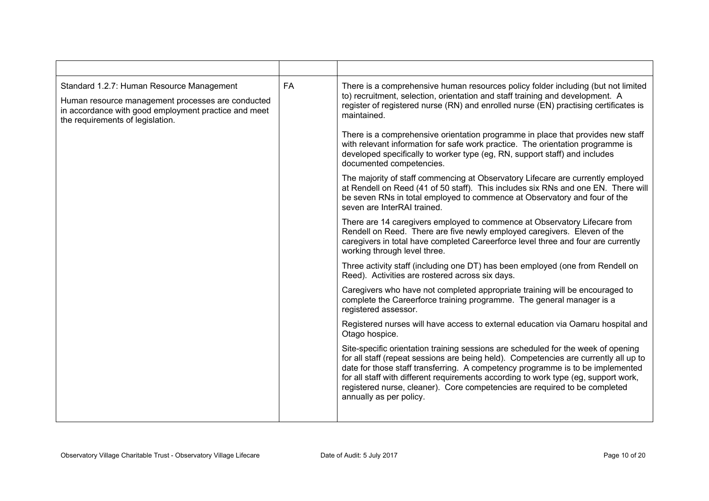| Standard 1.2.7: Human Resource Management<br>Human resource management processes are conducted<br>in accordance with good employment practice and meet<br>the requirements of legislation. | <b>FA</b> | There is a comprehensive human resources policy folder including (but not limited<br>to) recruitment, selection, orientation and staff training and development. A<br>register of registered nurse (RN) and enrolled nurse (EN) practising certificates is<br>maintained.                                                                                                                                                                                   |
|--------------------------------------------------------------------------------------------------------------------------------------------------------------------------------------------|-----------|-------------------------------------------------------------------------------------------------------------------------------------------------------------------------------------------------------------------------------------------------------------------------------------------------------------------------------------------------------------------------------------------------------------------------------------------------------------|
|                                                                                                                                                                                            |           | There is a comprehensive orientation programme in place that provides new staff<br>with relevant information for safe work practice. The orientation programme is<br>developed specifically to worker type (eg, RN, support staff) and includes<br>documented competencies.                                                                                                                                                                                 |
|                                                                                                                                                                                            |           | The majority of staff commencing at Observatory Lifecare are currently employed<br>at Rendell on Reed (41 of 50 staff). This includes six RNs and one EN. There will<br>be seven RNs in total employed to commence at Observatory and four of the<br>seven are InterRAI trained.                                                                                                                                                                            |
|                                                                                                                                                                                            |           | There are 14 caregivers employed to commence at Observatory Lifecare from<br>Rendell on Reed. There are five newly employed caregivers. Eleven of the<br>caregivers in total have completed Careerforce level three and four are currently<br>working through level three.                                                                                                                                                                                  |
|                                                                                                                                                                                            |           | Three activity staff (including one DT) has been employed (one from Rendell on<br>Reed). Activities are rostered across six days.                                                                                                                                                                                                                                                                                                                           |
|                                                                                                                                                                                            |           | Caregivers who have not completed appropriate training will be encouraged to<br>complete the Careerforce training programme. The general manager is a<br>registered assessor.                                                                                                                                                                                                                                                                               |
|                                                                                                                                                                                            |           | Registered nurses will have access to external education via Oamaru hospital and<br>Otago hospice.                                                                                                                                                                                                                                                                                                                                                          |
|                                                                                                                                                                                            |           | Site-specific orientation training sessions are scheduled for the week of opening<br>for all staff (repeat sessions are being held). Competencies are currently all up to<br>date for those staff transferring. A competency programme is to be implemented<br>for all staff with different requirements according to work type (eg, support work,<br>registered nurse, cleaner). Core competencies are required to be completed<br>annually as per policy. |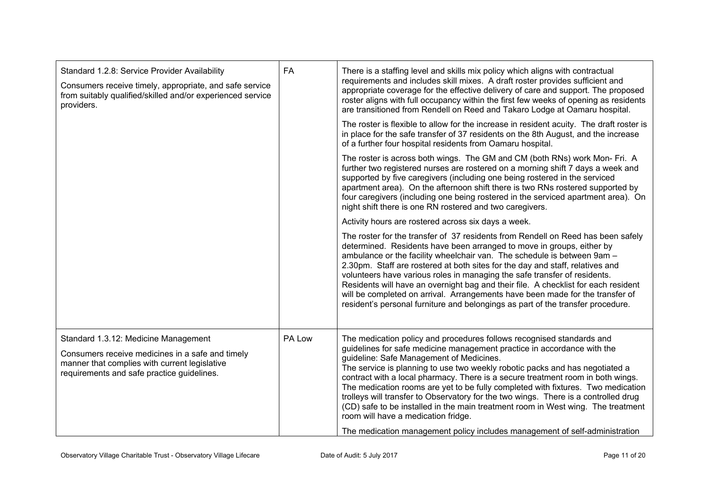| Standard 1.2.8: Service Provider Availability<br>Consumers receive timely, appropriate, and safe service<br>from suitably qualified/skilled and/or experienced service<br>providers.    | FA     | There is a staffing level and skills mix policy which aligns with contractual<br>requirements and includes skill mixes. A draft roster provides sufficient and<br>appropriate coverage for the effective delivery of care and support. The proposed<br>roster aligns with full occupancy within the first few weeks of opening as residents<br>are transitioned from Rendell on Reed and Takaro Lodge at Oamaru hospital.<br>The roster is flexible to allow for the increase in resident acuity. The draft roster is<br>in place for the safe transfer of 37 residents on the 8th August, and the increase<br>of a further four hospital residents from Oamaru hospital.                                                                            |
|-----------------------------------------------------------------------------------------------------------------------------------------------------------------------------------------|--------|------------------------------------------------------------------------------------------------------------------------------------------------------------------------------------------------------------------------------------------------------------------------------------------------------------------------------------------------------------------------------------------------------------------------------------------------------------------------------------------------------------------------------------------------------------------------------------------------------------------------------------------------------------------------------------------------------------------------------------------------------|
|                                                                                                                                                                                         |        | The roster is across both wings. The GM and CM (both RNs) work Mon- Fri. A<br>further two registered nurses are rostered on a morning shift 7 days a week and<br>supported by five caregivers (including one being rostered in the serviced<br>apartment area). On the afternoon shift there is two RNs rostered supported by<br>four caregivers (including one being rostered in the serviced apartment area). On<br>night shift there is one RN rostered and two caregivers.                                                                                                                                                                                                                                                                       |
|                                                                                                                                                                                         |        | Activity hours are rostered across six days a week.                                                                                                                                                                                                                                                                                                                                                                                                                                                                                                                                                                                                                                                                                                  |
|                                                                                                                                                                                         |        | The roster for the transfer of 37 residents from Rendell on Reed has been safely<br>determined. Residents have been arranged to move in groups, either by<br>ambulance or the facility wheelchair van. The schedule is between 9am -<br>2.30pm. Staff are rostered at both sites for the day and staff, relatives and<br>volunteers have various roles in managing the safe transfer of residents.<br>Residents will have an overnight bag and their file. A checklist for each resident<br>will be completed on arrival. Arrangements have been made for the transfer of<br>resident's personal furniture and belongings as part of the transfer procedure.                                                                                         |
| Standard 1.3.12: Medicine Management<br>Consumers receive medicines in a safe and timely<br>manner that complies with current legislative<br>requirements and safe practice guidelines. | PA Low | The medication policy and procedures follows recognised standards and<br>guidelines for safe medicine management practice in accordance with the<br>guideline: Safe Management of Medicines.<br>The service is planning to use two weekly robotic packs and has negotiated a<br>contract with a local pharmacy. There is a secure treatment room in both wings.<br>The medication rooms are yet to be fully completed with fixtures. Two medication<br>trolleys will transfer to Observatory for the two wings. There is a controlled drug<br>(CD) safe to be installed in the main treatment room in West wing. The treatment<br>room will have a medication fridge.<br>The medication management policy includes management of self-administration |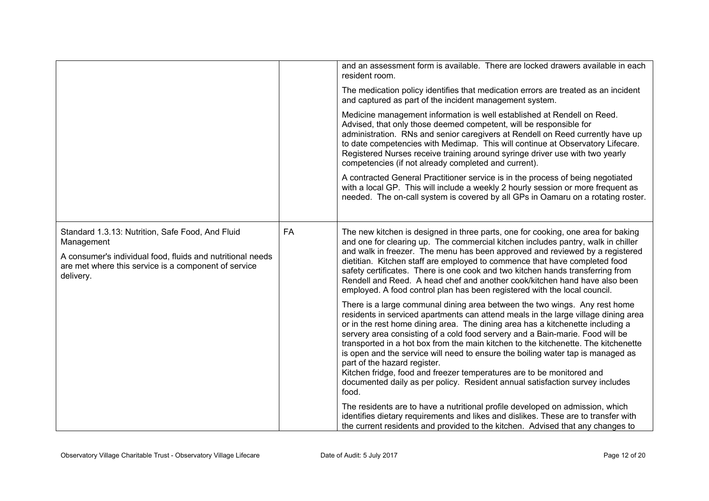|                                                                                                                                 |           | and an assessment form is available. There are locked drawers available in each<br>resident room.                                                                                                                                                                                                                                                                                                                                                                                                                                                                                                                                                                                                              |
|---------------------------------------------------------------------------------------------------------------------------------|-----------|----------------------------------------------------------------------------------------------------------------------------------------------------------------------------------------------------------------------------------------------------------------------------------------------------------------------------------------------------------------------------------------------------------------------------------------------------------------------------------------------------------------------------------------------------------------------------------------------------------------------------------------------------------------------------------------------------------------|
|                                                                                                                                 |           | The medication policy identifies that medication errors are treated as an incident<br>and captured as part of the incident management system.                                                                                                                                                                                                                                                                                                                                                                                                                                                                                                                                                                  |
|                                                                                                                                 |           | Medicine management information is well established at Rendell on Reed.<br>Advised, that only those deemed competent, will be responsible for<br>administration. RNs and senior caregivers at Rendell on Reed currently have up<br>to date competencies with Medimap. This will continue at Observatory Lifecare.<br>Registered Nurses receive training around syringe driver use with two yearly<br>competencies (if not already completed and current).                                                                                                                                                                                                                                                      |
|                                                                                                                                 |           | A contracted General Practitioner service is in the process of being negotiated<br>with a local GP. This will include a weekly 2 hourly session or more frequent as<br>needed. The on-call system is covered by all GPs in Oamaru on a rotating roster.                                                                                                                                                                                                                                                                                                                                                                                                                                                        |
| Standard 1.3.13: Nutrition, Safe Food, And Fluid<br>Management                                                                  | <b>FA</b> | The new kitchen is designed in three parts, one for cooking, one area for baking<br>and one for clearing up. The commercial kitchen includes pantry, walk in chiller                                                                                                                                                                                                                                                                                                                                                                                                                                                                                                                                           |
| A consumer's individual food, fluids and nutritional needs<br>are met where this service is a component of service<br>delivery. |           | and walk in freezer. The menu has been approved and reviewed by a registered<br>dietitian. Kitchen staff are employed to commence that have completed food<br>safety certificates. There is one cook and two kitchen hands transferring from<br>Rendell and Reed. A head chef and another cook/kitchen hand have also been<br>employed. A food control plan has been registered with the local council.                                                                                                                                                                                                                                                                                                        |
|                                                                                                                                 |           | There is a large communal dining area between the two wings. Any rest home<br>residents in serviced apartments can attend meals in the large village dining area<br>or in the rest home dining area. The dining area has a kitchenette including a<br>servery area consisting of a cold food servery and a Bain-marie. Food will be<br>transported in a hot box from the main kitchen to the kitchenette. The kitchenette<br>is open and the service will need to ensure the boiling water tap is managed as<br>part of the hazard register.<br>Kitchen fridge, food and freezer temperatures are to be monitored and<br>documented daily as per policy. Resident annual satisfaction survey includes<br>food. |
|                                                                                                                                 |           | The residents are to have a nutritional profile developed on admission, which<br>identifies dietary requirements and likes and dislikes. These are to transfer with<br>the current residents and provided to the kitchen. Advised that any changes to                                                                                                                                                                                                                                                                                                                                                                                                                                                          |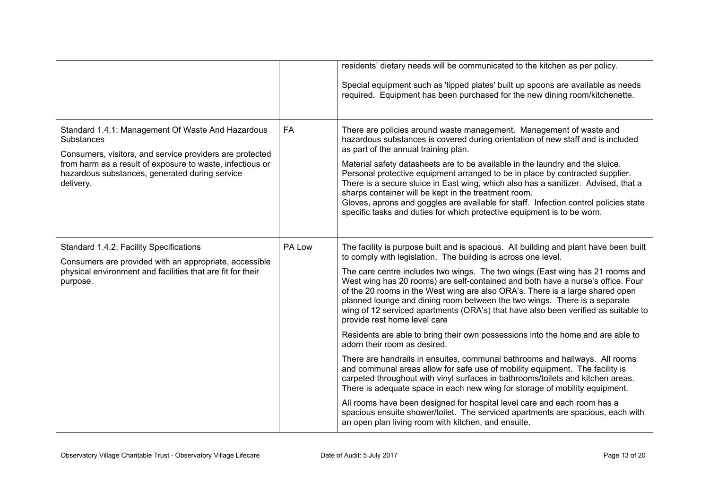|                                                                                                                                                                                                                                                         |           | residents' dietary needs will be communicated to the kitchen as per policy.                                                                                                                                                                                                                                                                                                                                                                                                                                                                                                                                                                                                                                                                                                                                                                                                                                                                                                                                                                                                                                                                                                                                                                                                              |
|---------------------------------------------------------------------------------------------------------------------------------------------------------------------------------------------------------------------------------------------------------|-----------|------------------------------------------------------------------------------------------------------------------------------------------------------------------------------------------------------------------------------------------------------------------------------------------------------------------------------------------------------------------------------------------------------------------------------------------------------------------------------------------------------------------------------------------------------------------------------------------------------------------------------------------------------------------------------------------------------------------------------------------------------------------------------------------------------------------------------------------------------------------------------------------------------------------------------------------------------------------------------------------------------------------------------------------------------------------------------------------------------------------------------------------------------------------------------------------------------------------------------------------------------------------------------------------|
|                                                                                                                                                                                                                                                         |           | Special equipment such as 'lipped plates' built up spoons are available as needs<br>required. Equipment has been purchased for the new dining room/kitchenette.                                                                                                                                                                                                                                                                                                                                                                                                                                                                                                                                                                                                                                                                                                                                                                                                                                                                                                                                                                                                                                                                                                                          |
| Standard 1.4.1: Management Of Waste And Hazardous<br>Substances<br>Consumers, visitors, and service providers are protected<br>from harm as a result of exposure to waste, infectious or<br>hazardous substances, generated during service<br>delivery. | <b>FA</b> | There are policies around waste management. Management of waste and<br>hazardous substances is covered during orientation of new staff and is included<br>as part of the annual training plan.<br>Material safety datasheets are to be available in the laundry and the sluice.<br>Personal protective equipment arranged to be in place by contracted supplier.<br>There is a secure sluice in East wing, which also has a sanitizer. Advised, that a<br>sharps container will be kept in the treatment room.<br>Gloves, aprons and goggles are available for staff. Infection control policies state<br>specific tasks and duties for which protective equipment is to be worn.                                                                                                                                                                                                                                                                                                                                                                                                                                                                                                                                                                                                        |
| Standard 1.4.2: Facility Specifications<br>Consumers are provided with an appropriate, accessible<br>physical environment and facilities that are fit for their<br>purpose.                                                                             | PA Low    | The facility is purpose built and is spacious. All building and plant have been built<br>to comply with legislation. The building is across one level.<br>The care centre includes two wings. The two wings (East wing has 21 rooms and<br>West wing has 20 rooms) are self-contained and both have a nurse's office. Four<br>of the 20 rooms in the West wing are also ORA's. There is a large shared open<br>planned lounge and dining room between the two wings. There is a separate<br>wing of 12 serviced apartments (ORA's) that have also been verified as suitable to<br>provide rest home level care<br>Residents are able to bring their own possessions into the home and are able to<br>adorn their room as desired.<br>There are handrails in ensuites, communal bathrooms and hallways. All rooms<br>and communal areas allow for safe use of mobility equipment. The facility is<br>carpeted throughout with vinyl surfaces in bathrooms/toilets and kitchen areas.<br>There is adequate space in each new wing for storage of mobility equipment.<br>All rooms have been designed for hospital level care and each room has a<br>spacious ensuite shower/toilet. The serviced apartments are spacious, each with<br>an open plan living room with kitchen, and ensuite. |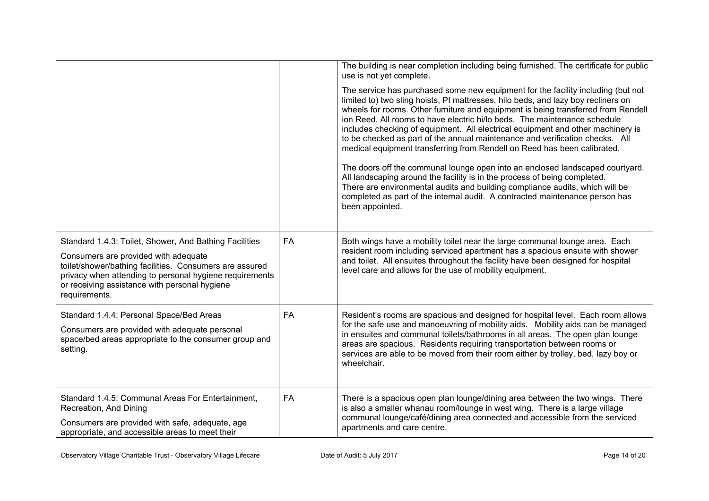|                                                                                                                                                                                                                                                                                        |           | The building is near completion including being furnished. The certificate for public<br>use is not yet complete.<br>The service has purchased some new equipment for the facility including (but not<br>limited to) two sling hoists, PI mattresses, hilo beds, and lazy boy recliners on<br>wheels for rooms. Other furniture and equipment is being transferred from Rendell<br>ion Reed. All rooms to have electric hi/lo beds. The maintenance schedule<br>includes checking of equipment. All electrical equipment and other machinery is<br>to be checked as part of the annual maintenance and verification checks. All<br>medical equipment transferring from Rendell on Reed has been calibrated.<br>The doors off the communal lounge open into an enclosed landscaped courtyard.<br>All landscaping around the facility is in the process of being completed.<br>There are environmental audits and building compliance audits, which will be<br>completed as part of the internal audit. A contracted maintenance person has<br>been appointed. |
|----------------------------------------------------------------------------------------------------------------------------------------------------------------------------------------------------------------------------------------------------------------------------------------|-----------|--------------------------------------------------------------------------------------------------------------------------------------------------------------------------------------------------------------------------------------------------------------------------------------------------------------------------------------------------------------------------------------------------------------------------------------------------------------------------------------------------------------------------------------------------------------------------------------------------------------------------------------------------------------------------------------------------------------------------------------------------------------------------------------------------------------------------------------------------------------------------------------------------------------------------------------------------------------------------------------------------------------------------------------------------------------|
| Standard 1.4.3: Toilet, Shower, And Bathing Facilities<br>Consumers are provided with adequate<br>toilet/shower/bathing facilities. Consumers are assured<br>privacy when attending to personal hygiene requirements<br>or receiving assistance with personal hygiene<br>requirements. | <b>FA</b> | Both wings have a mobility toilet near the large communal lounge area. Each<br>resident room including serviced apartment has a spacious ensuite with shower<br>and toilet. All ensuites throughout the facility have been designed for hospital<br>level care and allows for the use of mobility equipment.                                                                                                                                                                                                                                                                                                                                                                                                                                                                                                                                                                                                                                                                                                                                                 |
| Standard 1.4.4: Personal Space/Bed Areas<br>Consumers are provided with adequate personal<br>space/bed areas appropriate to the consumer group and<br>setting.                                                                                                                         | <b>FA</b> | Resident's rooms are spacious and designed for hospital level. Each room allows<br>for the safe use and manoeuvring of mobility aids. Mobility aids can be managed<br>in ensuites and communal toilets/bathrooms in all areas. The open plan lounge<br>areas are spacious. Residents requiring transportation between rooms or<br>services are able to be moved from their room either by trolley, bed, lazy boy or<br>wheelchair.                                                                                                                                                                                                                                                                                                                                                                                                                                                                                                                                                                                                                           |
| Standard 1.4.5: Communal Areas For Entertainment,<br>Recreation, And Dining<br>Consumers are provided with safe, adequate, age<br>appropriate, and accessible areas to meet their                                                                                                      | <b>FA</b> | There is a spacious open plan lounge/dining area between the two wings. There<br>is also a smaller whanau room/lounge in west wing. There is a large village<br>communal lounge/café/dining area connected and accessible from the serviced<br>apartments and care centre.                                                                                                                                                                                                                                                                                                                                                                                                                                                                                                                                                                                                                                                                                                                                                                                   |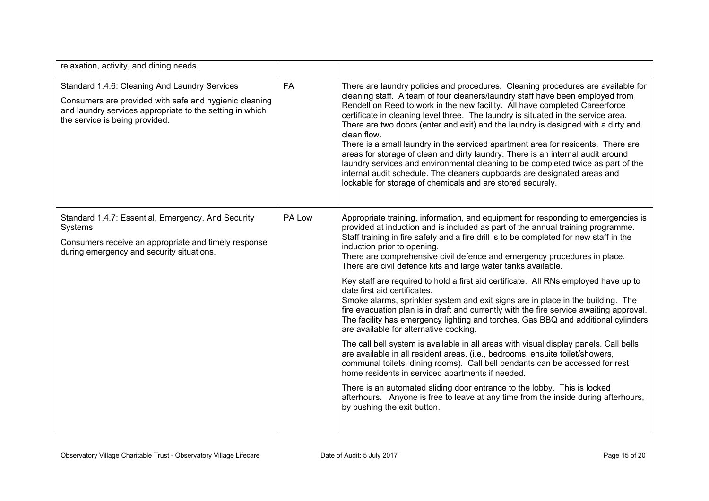| relaxation, activity, and dining needs.                                                                                                                                                               |           |                                                                                                                                                                                                                                                                                                                                                                                                                                                                                                                                                                                                                                                                                                                                                                                                                                                                                                                                                                                                                                                                                                                                                                                                                                                                                                                                                                                               |
|-------------------------------------------------------------------------------------------------------------------------------------------------------------------------------------------------------|-----------|-----------------------------------------------------------------------------------------------------------------------------------------------------------------------------------------------------------------------------------------------------------------------------------------------------------------------------------------------------------------------------------------------------------------------------------------------------------------------------------------------------------------------------------------------------------------------------------------------------------------------------------------------------------------------------------------------------------------------------------------------------------------------------------------------------------------------------------------------------------------------------------------------------------------------------------------------------------------------------------------------------------------------------------------------------------------------------------------------------------------------------------------------------------------------------------------------------------------------------------------------------------------------------------------------------------------------------------------------------------------------------------------------|
| Standard 1.4.6: Cleaning And Laundry Services<br>Consumers are provided with safe and hygienic cleaning<br>and laundry services appropriate to the setting in which<br>the service is being provided. | <b>FA</b> | There are laundry policies and procedures. Cleaning procedures are available for<br>cleaning staff. A team of four cleaners/laundry staff have been employed from<br>Rendell on Reed to work in the new facility. All have completed Careerforce<br>certificate in cleaning level three. The laundry is situated in the service area.<br>There are two doors (enter and exit) and the laundry is designed with a dirty and<br>clean flow.<br>There is a small laundry in the serviced apartment area for residents. There are<br>areas for storage of clean and dirty laundry. There is an internal audit around<br>laundry services and environmental cleaning to be completed twice as part of the<br>internal audit schedule. The cleaners cupboards are designated areas and<br>lockable for storage of chemicals and are stored securely.                                                                                                                                                                                                                                                                                                                                                                                                                                                                                                                                                |
| Standard 1.4.7: Essential, Emergency, And Security<br>Systems<br>Consumers receive an appropriate and timely response<br>during emergency and security situations.                                    | PA Low    | Appropriate training, information, and equipment for responding to emergencies is<br>provided at induction and is included as part of the annual training programme.<br>Staff training in fire safety and a fire drill is to be completed for new staff in the<br>induction prior to opening.<br>There are comprehensive civil defence and emergency procedures in place.<br>There are civil defence kits and large water tanks available.<br>Key staff are required to hold a first aid certificate. All RNs employed have up to<br>date first aid certificates.<br>Smoke alarms, sprinkler system and exit signs are in place in the building. The<br>fire evacuation plan is in draft and currently with the fire service awaiting approval.<br>The facility has emergency lighting and torches. Gas BBQ and additional cylinders<br>are available for alternative cooking.<br>The call bell system is available in all areas with visual display panels. Call bells<br>are available in all resident areas, (i.e., bedrooms, ensuite toilet/showers,<br>communal toilets, dining rooms). Call bell pendants can be accessed for rest<br>home residents in serviced apartments if needed.<br>There is an automated sliding door entrance to the lobby. This is locked<br>afterhours. Anyone is free to leave at any time from the inside during afterhours,<br>by pushing the exit button. |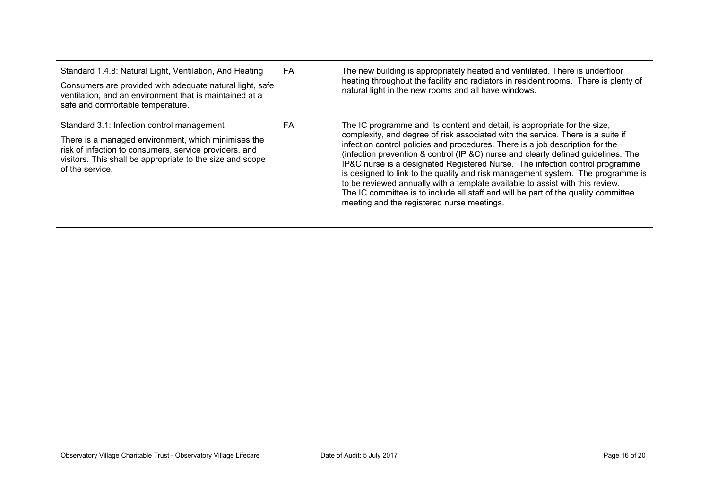| Standard 1.4.8: Natural Light, Ventilation, And Heating<br>Consumers are provided with adequate natural light, safe<br>ventilation, and an environment that is maintained at a<br>safe and comfortable temperature.                         | FA | The new building is appropriately heated and ventilated. There is underfloor<br>heating throughout the facility and radiators in resident rooms. There is plenty of<br>natural light in the new rooms and all have windows.                                                                                                                                                                                                                                                                                                                                                                                                                                                                                                |
|---------------------------------------------------------------------------------------------------------------------------------------------------------------------------------------------------------------------------------------------|----|----------------------------------------------------------------------------------------------------------------------------------------------------------------------------------------------------------------------------------------------------------------------------------------------------------------------------------------------------------------------------------------------------------------------------------------------------------------------------------------------------------------------------------------------------------------------------------------------------------------------------------------------------------------------------------------------------------------------------|
| Standard 3.1: Infection control management<br>There is a managed environment, which minimises the<br>risk of infection to consumers, service providers, and<br>visitors. This shall be appropriate to the size and scope<br>of the service. | FA | The IC programme and its content and detail, is appropriate for the size,<br>complexity, and degree of risk associated with the service. There is a suite if<br>infection control policies and procedures. There is a job description for the<br>(infection prevention & control (IP &C) nurse and clearly defined guidelines. The<br>IP&C nurse is a designated Registered Nurse. The infection control programme<br>is designed to link to the quality and risk management system. The programme is<br>to be reviewed annually with a template available to assist with this review.<br>The IC committee is to include all staff and will be part of the quality committee<br>meeting and the registered nurse meetings. |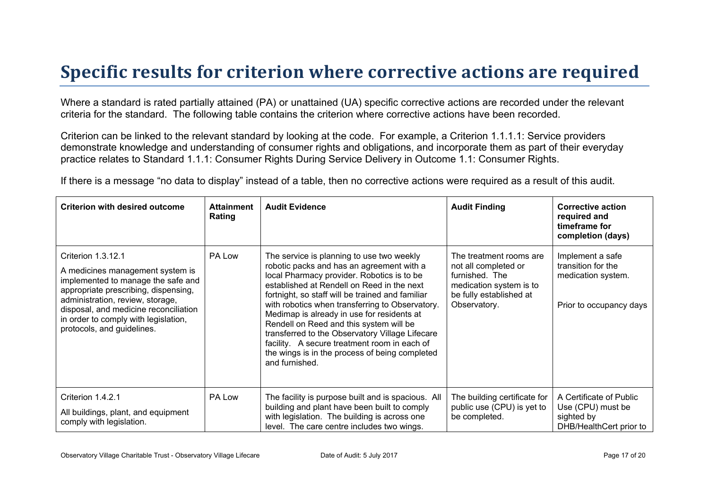## **Specific results for criterion where corrective actions are required**

Where a standard is rated partially attained (PA) or unattained (UA) specific corrective actions are recorded under the relevant criteria for the standard. The following table contains the criterion where corrective actions have been recorded.

Criterion can be linked to the relevant standard by looking at the code. For example, a Criterion 1.1.1.1: Service providers demonstrate knowledge and understanding of consumer rights and obligations, and incorporate them as part of their everyday practice relates to Standard 1.1.1: Consumer Rights During Service Delivery in Outcome 1.1: Consumer Rights.

If there is a message "no data to display" instead of a table, then no corrective actions were required as a result of this audit.

| <b>Criterion with desired outcome</b>                                                                                                                                                                                                                                                   | <b>Attainment</b><br>Rating | <b>Audit Evidence</b>                                                                                                                                                                                                                                                                                                                                                                                                                                                                                                                                     | <b>Audit Finding</b>                                                                                                                    | <b>Corrective action</b><br>required and<br>timeframe for<br>completion (days)          |
|-----------------------------------------------------------------------------------------------------------------------------------------------------------------------------------------------------------------------------------------------------------------------------------------|-----------------------------|-----------------------------------------------------------------------------------------------------------------------------------------------------------------------------------------------------------------------------------------------------------------------------------------------------------------------------------------------------------------------------------------------------------------------------------------------------------------------------------------------------------------------------------------------------------|-----------------------------------------------------------------------------------------------------------------------------------------|-----------------------------------------------------------------------------------------|
| Criterion 1.3.12.1<br>A medicines management system is<br>implemented to manage the safe and<br>appropriate prescribing, dispensing,<br>administration, review, storage,<br>disposal, and medicine reconciliation<br>in order to comply with legislation,<br>protocols, and guidelines. | PA Low                      | The service is planning to use two weekly<br>robotic packs and has an agreement with a<br>local Pharmacy provider. Robotics is to be<br>established at Rendell on Reed in the next<br>fortnight, so staff will be trained and familiar<br>with robotics when transferring to Observatory.<br>Medimap is already in use for residents at<br>Rendell on Reed and this system will be<br>transferred to the Observatory Village Lifecare<br>facility. A secure treatment room in each of<br>the wings is in the process of being completed<br>and furnished. | The treatment rooms are<br>not all completed or<br>furnished. The<br>medication system is to<br>be fully established at<br>Observatory. | Implement a safe<br>transition for the<br>medication system.<br>Prior to occupancy days |
| Criterion 1.4.2.1<br>All buildings, plant, and equipment<br>comply with legislation.                                                                                                                                                                                                    | PA Low                      | The facility is purpose built and is spacious. All<br>building and plant have been built to comply<br>with legislation. The building is across one<br>level. The care centre includes two wings.                                                                                                                                                                                                                                                                                                                                                          | The building certificate for<br>public use (CPU) is yet to<br>be completed.                                                             | A Certificate of Public<br>Use (CPU) must be<br>sighted by<br>DHB/HealthCert prior to   |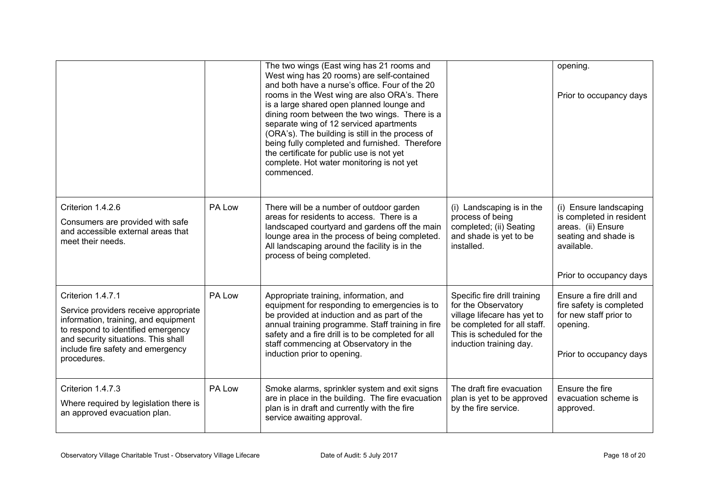|                                                                                                                                                                                                                                     |        | The two wings (East wing has 21 rooms and<br>West wing has 20 rooms) are self-contained<br>and both have a nurse's office. Four of the 20<br>rooms in the West wing are also ORA's. There<br>is a large shared open planned lounge and<br>dining room between the two wings. There is a<br>separate wing of 12 serviced apartments<br>(ORA's). The building is still in the process of<br>being fully completed and furnished. Therefore<br>the certificate for public use is not yet<br>complete. Hot water monitoring is not yet<br>commenced. |                                                                                                                                                                           | opening.<br>Prior to occupancy days                                                                                                       |
|-------------------------------------------------------------------------------------------------------------------------------------------------------------------------------------------------------------------------------------|--------|--------------------------------------------------------------------------------------------------------------------------------------------------------------------------------------------------------------------------------------------------------------------------------------------------------------------------------------------------------------------------------------------------------------------------------------------------------------------------------------------------------------------------------------------------|---------------------------------------------------------------------------------------------------------------------------------------------------------------------------|-------------------------------------------------------------------------------------------------------------------------------------------|
| Criterion 1.4.2.6<br>Consumers are provided with safe<br>and accessible external areas that<br>meet their needs.                                                                                                                    | PA Low | There will be a number of outdoor garden<br>areas for residents to access. There is a<br>landscaped courtyard and gardens off the main<br>lounge area in the process of being completed.<br>All landscaping around the facility is in the<br>process of being completed.                                                                                                                                                                                                                                                                         | (i) Landscaping is in the<br>process of being<br>completed; (ii) Seating<br>and shade is yet to be<br>installed.                                                          | (i) Ensure landscaping<br>is completed in resident<br>areas. (ii) Ensure<br>seating and shade is<br>available.<br>Prior to occupancy days |
| Criterion 1.4.7.1<br>Service providers receive appropriate<br>information, training, and equipment<br>to respond to identified emergency<br>and security situations. This shall<br>include fire safety and emergency<br>procedures. | PA Low | Appropriate training, information, and<br>equipment for responding to emergencies is to<br>be provided at induction and as part of the<br>annual training programme. Staff training in fire<br>safety and a fire drill is to be completed for all<br>staff commencing at Observatory in the<br>induction prior to opening.                                                                                                                                                                                                                       | Specific fire drill training<br>for the Observatory<br>village lifecare has yet to<br>be completed for all staff.<br>This is scheduled for the<br>induction training day. | Ensure a fire drill and<br>fire safety is completed<br>for new staff prior to<br>opening.<br>Prior to occupancy days                      |
| Criterion 1.4.7.3<br>Where required by legislation there is<br>an approved evacuation plan.                                                                                                                                         | PA Low | Smoke alarms, sprinkler system and exit signs<br>are in place in the building. The fire evacuation<br>plan is in draft and currently with the fire<br>service awaiting approval.                                                                                                                                                                                                                                                                                                                                                                 | The draft fire evacuation<br>plan is yet to be approved<br>by the fire service.                                                                                           | Ensure the fire<br>evacuation scheme is<br>approved.                                                                                      |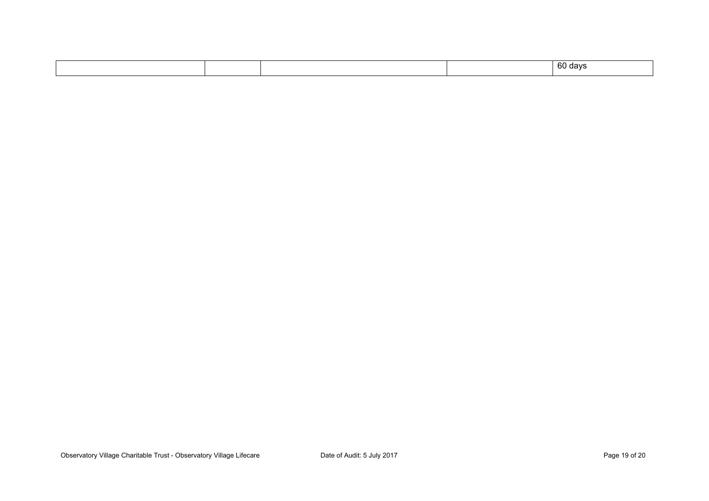|  |  |  |  | 60 days |
|--|--|--|--|---------|
|--|--|--|--|---------|